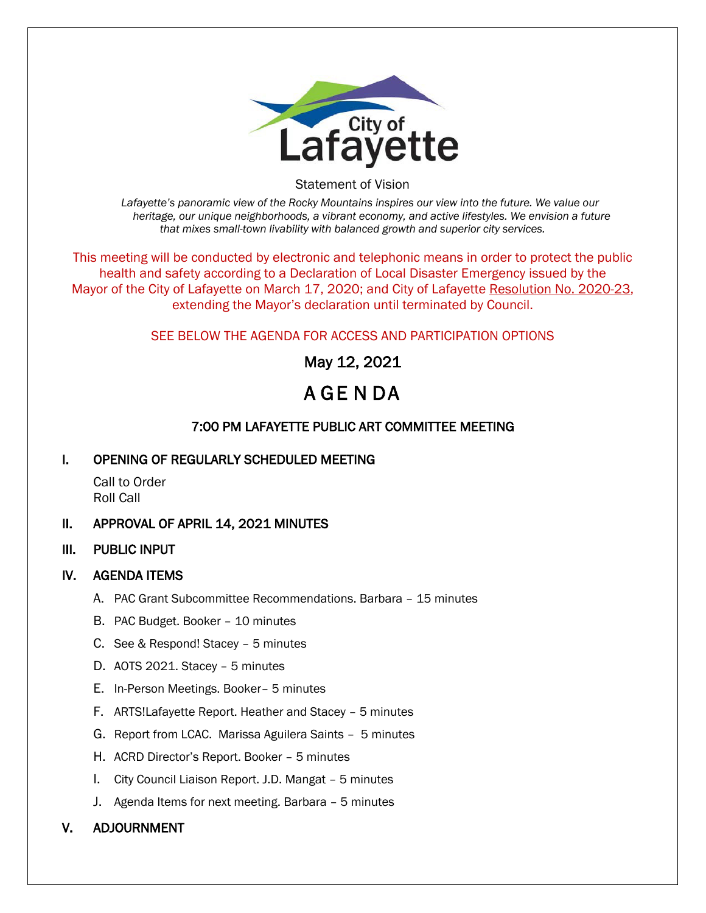

Statement of Vision

*Lafayette's panoramic view of the Rocky Mountains inspires our view into the future. We value our heritage, our unique neighborhoods, a vibrant economy, and active lifestyles. We envision a future that mixes small-town livability with balanced growth and superior city services.*

This meeting will be conducted by electronic and telephonic means in order to protect the public health and safety according to a Declaration of Local Disaster Emergency issued by the Mayor of the City of Lafayette on March 17, 2020; and City of Lafayette Resolution No. 2020-23, extending the Mayor's declaration until terminated by Council.

## SEE BELOW THE AGENDA FOR ACCESS AND PARTICIPATION OPTIONS

May 12, 2021

# A GE N DA

## 7:00 PM LAFAYETTE PUBLIC ART COMMITTEE MEETING

### I. OPENING OF REGULARLY SCHEDULED MEETING

Call to Order Roll Call

### II. APPROVAL OF APRIL 14, 2021 MINUTES

III. PUBLIC INPUT

### IV. AGENDA ITEMS

- A. PAC Grant Subcommittee Recommendations. Barbara 15 minutes
- B. PAC Budget. Booker 10 minutes
- C. See & Respond! Stacey 5 minutes
- D. AOTS 2021. Stacey 5 minutes
- E. In-Person Meetings. Booker– 5 minutes
- F. ARTS!Lafayette Report. Heather and Stacey 5 minutes
- G. Report from LCAC. Marissa Aguilera Saints 5 minutes
- H. ACRD Director's Report. Booker 5 minutes
- I. City Council Liaison Report. J.D. Mangat 5 minutes
- J. Agenda Items for next meeting. Barbara 5 minutes

### V. ADJOURNMENT